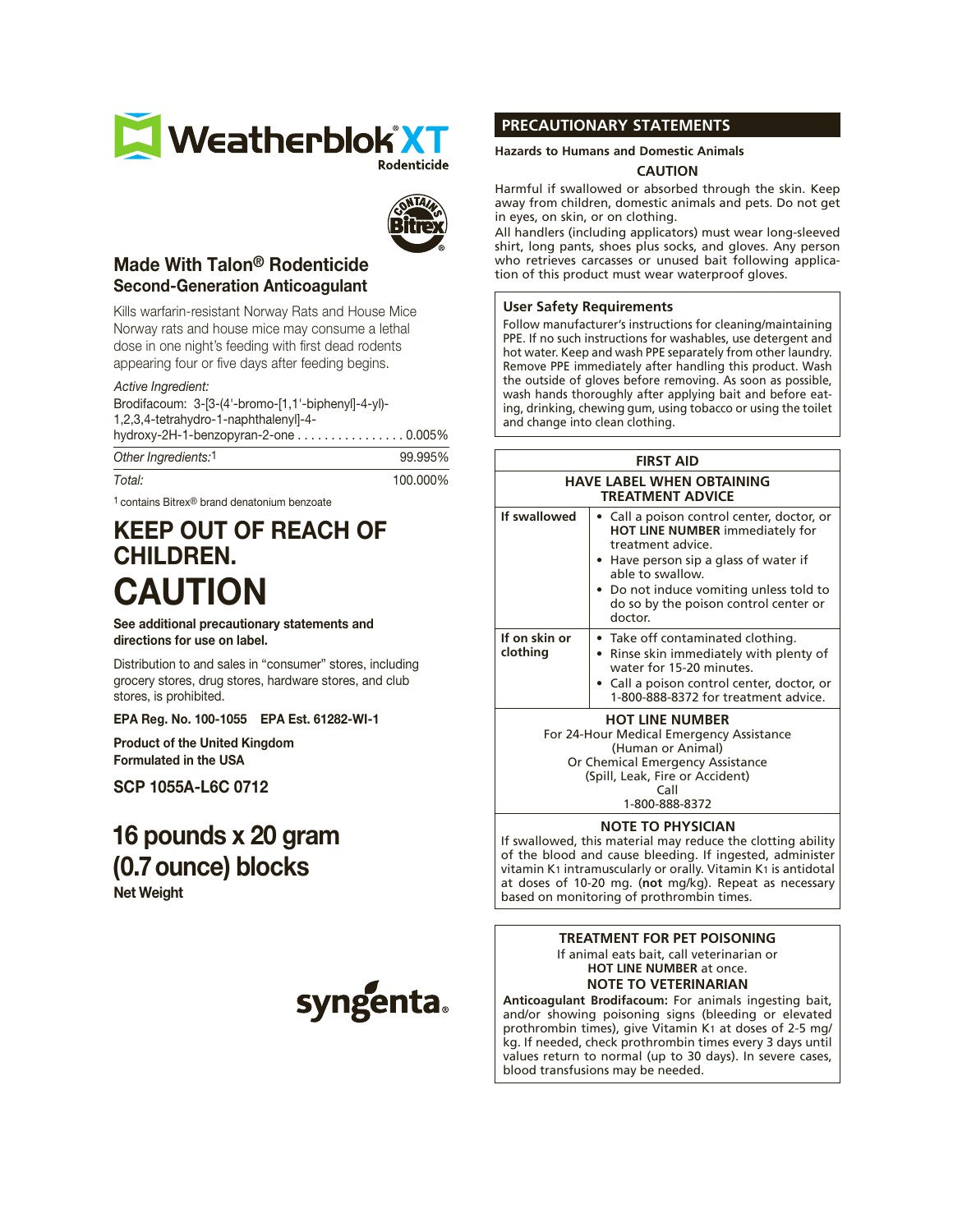



## Made With Talon® Rodenticide Second-Generation Anticoagulant

Kills warfarin-resistant Norway Rats and House Mice Norway rats and house mice may consume a lethal dose in one night's feeding with first dead rodents appearing four or five days after feeding begins.

### *Active Ingredient:*

Brodifacoum: 3-[3-(4'-bromo-[1,1'-biphenyl]-4-yl)- 1,2,3,4-tetrahydro-1-naphthalenyl]-4 hydroxy-2H-1-benzopyran-2-one . . . . . . . . . . . . . . . . 0.005%

| Other Ingredients:1 | 99.995%  |
|---------------------|----------|
| Total:              | 100.000% |

1 contains Bitrex® brand denatonium benzoate

# KEEP OUT OF REACH OF CHILDREN. CAUTION

See additional precautionary statements and directions for use on label.

Distribution to and sales in "consumer" stores, including grocery stores, drug stores, hardware stores, and club stores, is prohibited.

EPA Reg. No. 100-1055 EPA Est. 61282-WI-1

Product of the United Kingdom Formulated in the USA

SCP 1055A-L6C 0712

# 16 pounds x 20 gram (0.7ounce) blocks

Net Weight



### **PRECAUTIONARY STATEMENTS**

### **Hazards to Humans and Domestic Animals**

### **CAUTION**

Harmful if swallowed or absorbed through the skin. Keep away from children, domestic animals and pets. Do not get in eyes, on skin, or on clothing.

All handlers (including applicators) must wear long-sleeved shirt, long pants, shoes plus socks, and gloves. Any person who retrieves carcasses or unused bait following application of this product must wear waterproof gloves.

### **User Safety Requirements**

Follow manufacturer's instructions for cleaning/maintaining PPE. If no such instructions for washables, use detergent and hot water. Keep and wash PPE separately from other laundry. Remove PPE immediately after handling this product. Wash the outside of gloves before removing. As soon as possible, wash hands thoroughly after applying bait and before eating, drinking, chewing gum, using tobacco or using the toilet and change into clean clothing.

### **FIRST AID**

| <b>HAVE LABEL WHEN OBTAINING</b><br><b>TREATMENT ADVICE</b>        |                                                                                                                                                                                                                                                                |
|--------------------------------------------------------------------|----------------------------------------------------------------------------------------------------------------------------------------------------------------------------------------------------------------------------------------------------------------|
| If swallowed                                                       | • Call a poison control center, doctor, or<br>HOT LINE NUMBER immediately for<br>treatment advice.<br>• Have person sip a glass of water if<br>able to swallow.<br>• Do not induce vomiting unless told to<br>do so by the poison control center or<br>doctor. |
| If on skin or<br>clothing                                          | • Take off contaminated clothing.<br>• Rinse skin immediately with plenty of<br>water for 15-20 minutes.<br>• Call a poison control center, doctor, or<br>1-800-888-8372 for treatment advice.                                                                 |
| <b>HOT LINE NUMBER</b><br>For 24-Hour Medical Emergency Assistance |                                                                                                                                                                                                                                                                |

(Human or Animal) Or Chemical Emergency Assistance

(Spill, Leak, Fire or Accident) Call

1-800-888-8372

### **NOTE TO PHYSICIAN**

If swallowed, this material may reduce the clotting ability of the blood and cause bleeding. If ingested, administer vitamin K1 intramuscularly or orally. Vitamin K1 is antidotal at doses of 10-20 mg. (**not** mg/kg). Repeat as necessary based on monitoring of prothrombin times.

# **TREATMENT FOR PET POISONING**

If animal eats bait, call veterinarian or **HOT LINE NUMBER** at once. **NOTE TO VETERINARIAN**

**Anticoagulant Brodifacoum:** For animals ingesting bait, and/or showing poisoning signs (bleeding or elevated prothrombin times), give Vitamin K1 at doses of 2-5 mg/ kg. If needed, check prothrombin times every 3 days until values return to normal (up to 30 days). In severe cases, blood transfusions may be needed.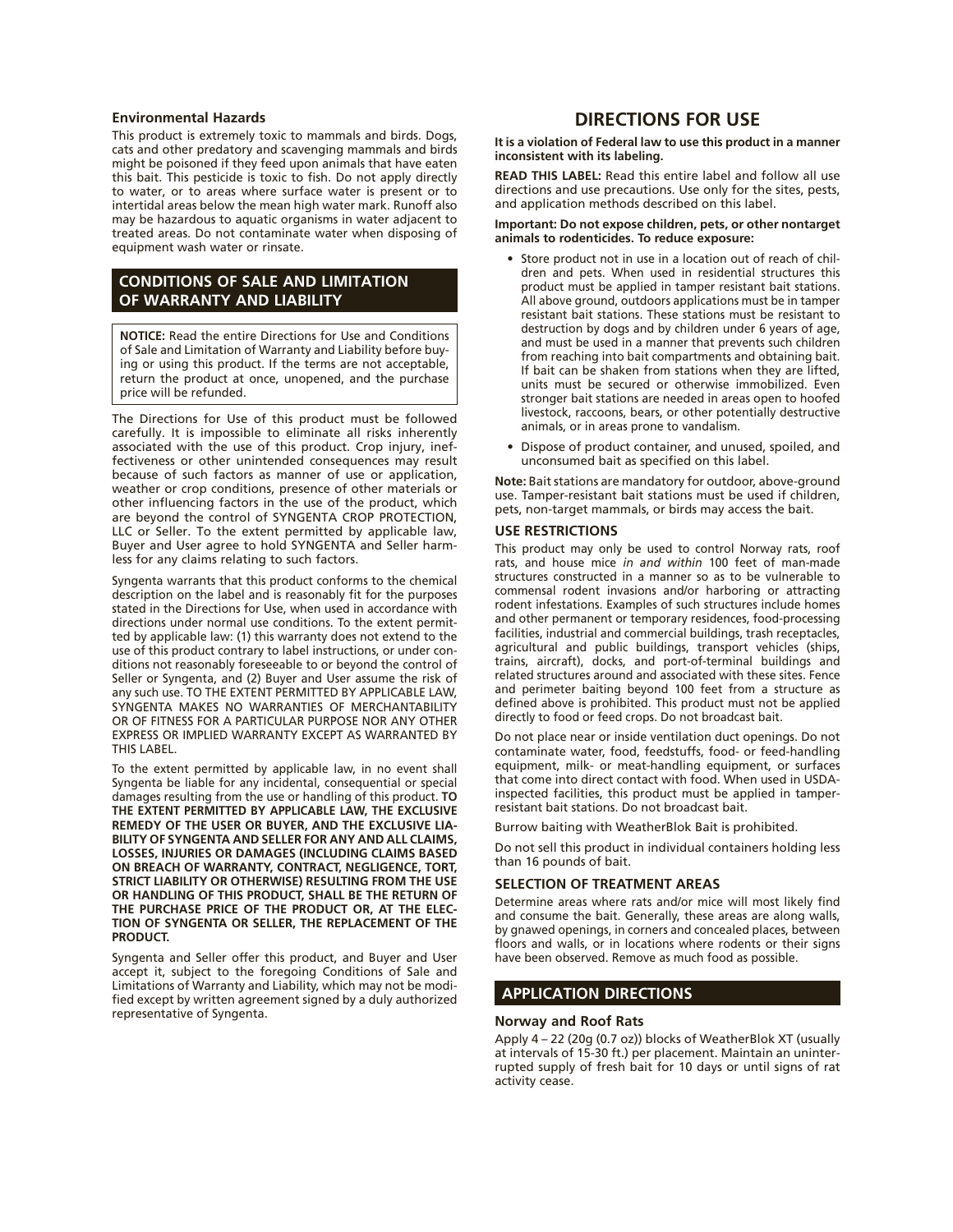#### **Environmental Hazards**

This product is extremely toxic to mammals and birds. Dogs, cats and other predatory and scavenging mammals and birds might be poisoned if they feed upon animals that have eaten this bait. This pesticide is toxic to fish. Do not apply directly to water, or to areas where surface water is present or to intertidal areas below the mean high water mark. Runoff also may be hazardous to aquatic organisms in water adjacent to treated areas. Do not contaminate water when disposing of equipment wash water or rinsate.

### **CONDITIONS OF SALE AND LIMITATION OF WARRANTY AND LIABILITY**

**NOTICE:** Read the entire Directions for Use and Conditions of Sale and Limitation of Warranty and Liability before buying or using this product. If the terms are not acceptable, return the product at once, unopened, and the purchase price will be refunded.

The Directions for Use of this product must be followed carefully. It is impossible to eliminate all risks inherently associated with the use of this product. Crop injury, ineffectiveness or other unintended consequences may result because of such factors as manner of use or application, weather or crop conditions, presence of other materials or other influencing factors in the use of the product, which are beyond the control of SYNGENTA CROP PROTECTION, LLC or Seller. To the extent permitted by applicable law, Buyer and User agree to hold SYNGENTA and Seller harmless for any claims relating to such factors.

Syngenta warrants that this product conforms to the chemical description on the label and is reasonably fit for the purposes stated in the Directions for Use, when used in accordance with directions under normal use conditions. To the extent permitted by applicable law: (1) this warranty does not extend to the use of this product contrary to label instructions, or under conditions not reasonably foreseeable to or beyond the control of Seller or Syngenta, and (2) Buyer and User assume the risk of any such use. TO THE EXTENT PERMITTED BY APPLICABLE LAW, SYNGENTA MAKES NO WARRANTIES OF MERCHANTABILITY OR OF FITNESS FOR A PARTICULAR PURPOSE NOR ANY OTHER EXPRESS OR IMPLIED WARRANTY EXCEPT AS WARRANTED BY THIS LABEL.

To the extent permitted by applicable law, in no event shall Syngenta be liable for any incidental, consequential or special damages resulting from the use or handling of this product. **TO THE EXTENT PERMITTED BY APPLICABLE LAW, THE EXCLUSIVE REMEDY OF THE USER OR BUYER, AND THE EXCLUSIVE LIA-BILITY OF SYNGENTA AND SELLER FOR ANY AND ALL CLAIMS, LOSSES, INJURIES OR DAMAGES (INCLUDING CLAIMS BASED ON BREACH OF WARRANTY, CONTRACT, NEGLIGENCE, TORT, STRICT LIABILITY OR OTHERWISE) RESULTING FROM THE USE OR HANDLING OF THIS PRODUCT, SHALL BE THE RETURN OF THE PURCHASE PRICE OF THE PRODUCT OR, AT THE ELEC-TION OF SYNGENTA OR SELLER, THE REPLACEMENT OF THE PRODUCT.**

Syngenta and Seller offer this product, and Buyer and User accept it, subject to the foregoing Conditions of Sale and Limitations of Warranty and Liability, which may not be modified except by written agreement signed by a duly authorized representative of Syngenta.

## **DIRECTIONS FOR USE**

**It is a violation of Federal law to use this product in a manner inconsistent with its labeling.**

**READ THIS LABEL:** Read this entire label and follow all use directions and use precautions. Use only for the sites, pests, and application methods described on this label.

#### **Important: Do not expose children, pets, or other nontarget animals to rodenticides. To reduce exposure:**

- Store product not in use in a location out of reach of children and pets. When used in residential structures this product must be applied in tamper resistant bait stations. All above ground, outdoors applications must be in tamper resistant bait stations. These stations must be resistant to destruction by dogs and by children under 6 years of age, and must be used in a manner that prevents such children from reaching into bait compartments and obtaining bait. If bait can be shaken from stations when they are lifted, units must be secured or otherwise immobilized. Even stronger bait stations are needed in areas open to hoofed livestock, raccoons, bears, or other potentially destructive animals, or in areas prone to vandalism.
- • Dispose of product container, and unused, spoiled, and unconsumed bait as specified on this label.

**Note:** Bait stations are mandatory for outdoor, above-ground use. Tamper-resistant bait stations must be used if children, pets, non-target mammals, or birds may access the bait.

### **USE RESTRICTIONS**

This product may only be used to control Norway rats, roof rats, and house mice *in and within* 100 feet of man-made structures constructed in a manner so as to be vulnerable to commensal rodent invasions and/or harboring or attracting rodent infestations. Examples of such structures include homes and other permanent or temporary residences, food-processing facilities, industrial and commercial buildings, trash receptacles, agricultural and public buildings, transport vehicles (ships, trains, aircraft), docks, and port-of-terminal buildings and related structures around and associated with these sites. Fence and perimeter baiting beyond 100 feet from a structure as defined above is prohibited. This product must not be applied directly to food or feed crops. Do not broadcast bait.

Do not place near or inside ventilation duct openings. Do not contaminate water, food, feedstuffs, food- or feed-handling equipment, milk- or meat-handling equipment, or surfaces that come into direct contact with food. When used in USDAinspected facilities, this product must be applied in tamperresistant bait stations. Do not broadcast bait.

Burrow baiting with WeatherBlok Bait is prohibited.

Do not sell this product in individual containers holding less than 16 pounds of bait.

### **SELECTION OF TREATMENT AREAS**

Determine areas where rats and/or mice will most likely find and consume the bait. Generally, these areas are along walls, by gnawed openings, in corners and concealed places, between floors and walls, or in locations where rodents or their signs have been observed. Remove as much food as possible.

### **APPLICATION DIRECTIONS**

### **Norway and Roof Rats**

Apply 4 – 22 (20g (0.7 oz)) blocks of WeatherBlok XT (usually at intervals of 15-30 ft.) per placement. Maintain an uninterrupted supply of fresh bait for 10 days or until signs of rat activity cease.